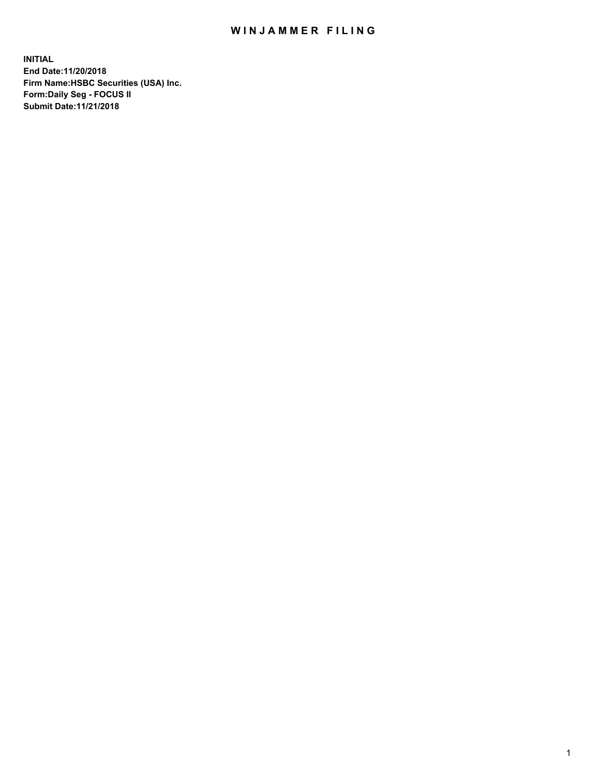## WIN JAMMER FILING

**INITIAL End Date:11/20/2018 Firm Name:HSBC Securities (USA) Inc. Form:Daily Seg - FOCUS II Submit Date:11/21/2018**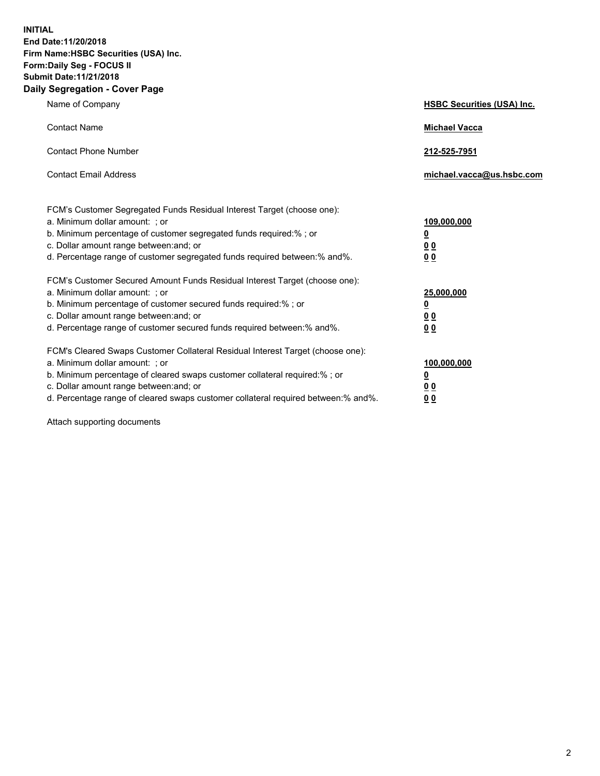**INITIAL End Date:11/20/2018 Firm Name:HSBC Securities (USA) Inc. Form:Daily Seg - FOCUS II Submit Date:11/21/2018 Daily Segregation - Cover Page**

| Name of Company                                                                                                                                                                                                                                                                                                                | <b>HSBC Securities (USA) Inc.</b>                    |
|--------------------------------------------------------------------------------------------------------------------------------------------------------------------------------------------------------------------------------------------------------------------------------------------------------------------------------|------------------------------------------------------|
| <b>Contact Name</b>                                                                                                                                                                                                                                                                                                            | <b>Michael Vacca</b>                                 |
| <b>Contact Phone Number</b>                                                                                                                                                                                                                                                                                                    | 212-525-7951                                         |
| <b>Contact Email Address</b>                                                                                                                                                                                                                                                                                                   | michael.vacca@us.hsbc.com                            |
| FCM's Customer Segregated Funds Residual Interest Target (choose one):<br>a. Minimum dollar amount: ; or<br>b. Minimum percentage of customer segregated funds required:% ; or<br>c. Dollar amount range between: and; or<br>d. Percentage range of customer segregated funds required between:% and%.                         | 109,000,000<br>₫<br>0 <sub>0</sub><br>0 <sub>0</sub> |
| FCM's Customer Secured Amount Funds Residual Interest Target (choose one):<br>a. Minimum dollar amount: ; or<br>b. Minimum percentage of customer secured funds required:%; or<br>c. Dollar amount range between: and; or<br>d. Percentage range of customer secured funds required between:% and%.                            | 25,000,000<br><u>0</u><br>0 <sub>0</sub><br>00       |
| FCM's Cleared Swaps Customer Collateral Residual Interest Target (choose one):<br>a. Minimum dollar amount: ; or<br>b. Minimum percentage of cleared swaps customer collateral required:% ; or<br>c. Dollar amount range between: and; or<br>d. Percentage range of cleared swaps customer collateral required between:% and%. | 100,000,000<br><u>0</u><br><u>00</u><br>00           |

Attach supporting documents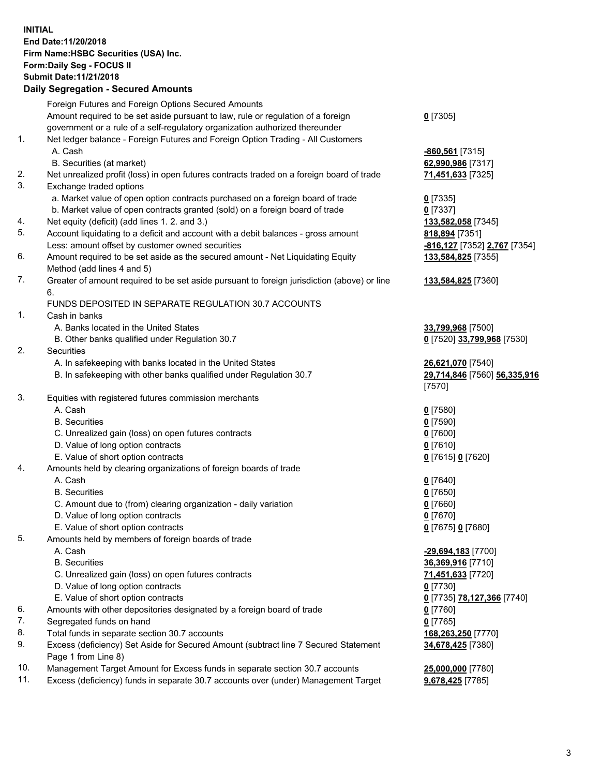**INITIAL End Date:11/20/2018 Firm Name:HSBC Securities (USA) Inc. Form:Daily Seg - FOCUS II Submit Date:11/21/2018 Daily Segregation - Secured Amounts** Foreign Futures and Foreign Options Secured Amounts Amount required to be set aside pursuant to law, rule or regulation of a foreign government or a rule of a self-regulatory organization authorized thereunder **0** [7305] 1. Net ledger balance - Foreign Futures and Foreign Option Trading - All Customers A. Cash **-860,561** [7315] B. Securities (at market) **62,990,986** [7317] 2. Net unrealized profit (loss) in open futures contracts traded on a foreign board of trade **71,451,633** [7325] 3. Exchange traded options a. Market value of open option contracts purchased on a foreign board of trade **0** [7335] b. Market value of open contracts granted (sold) on a foreign board of trade **0** [7337] 4. Net equity (deficit) (add lines 1. 2. and 3.) **133,582,058** [7345] 5. Account liquidating to a deficit and account with a debit balances - gross amount **818,894** [7351] Less: amount offset by customer owned securities **-816,127** [7352] **2,767** [7354] 6. Amount required to be set aside as the secured amount - Net Liquidating Equity Method (add lines 4 and 5) **133,584,825** [7355] 7. Greater of amount required to be set aside pursuant to foreign jurisdiction (above) or line 6. **133,584,825** [7360] FUNDS DEPOSITED IN SEPARATE REGULATION 30.7 ACCOUNTS 1. Cash in banks A. Banks located in the United States **33,799,968** [7500] B. Other banks qualified under Regulation 30.7 **0** [7520] **33,799,968** [7530] 2. Securities A. In safekeeping with banks located in the United States **26,621,070** [7540] B. In safekeeping with other banks qualified under Regulation 30.7 **29,714,846** [7560] **56,335,916** [7570] 3. Equities with registered futures commission merchants A. Cash **0** [7580] B. Securities **0** [7590] C. Unrealized gain (loss) on open futures contracts **0** [7600] D. Value of long option contracts **0** [7610] E. Value of short option contracts **0** [7615] **0** [7620] 4. Amounts held by clearing organizations of foreign boards of trade A. Cash **0** [7640] B. Securities **0** [7650] C. Amount due to (from) clearing organization - daily variation **0** [7660] D. Value of long option contracts **0** [7670] E. Value of short option contracts **0** [7675] **0** [7680] 5. Amounts held by members of foreign boards of trade A. Cash **-29,694,183** [7700] B. Securities **36,369,916** [7710] C. Unrealized gain (loss) on open futures contracts **71,451,633** [7720] D. Value of long option contracts **0** [7730] E. Value of short option contracts **0** [7735] **78,127,366** [7740] 6. Amounts with other depositories designated by a foreign board of trade **0** [7760] 7. Segregated funds on hand **0** [7765] 8. Total funds in separate section 30.7 accounts **168,263,250** [7770] 9. Excess (deficiency) Set Aside for Secured Amount (subtract line 7 Secured Statement Page 1 from Line 8) **34,678,425** [7380]

10. Management Target Amount for Excess funds in separate section 30.7 accounts **25,000,000** [7780]

11. Excess (deficiency) funds in separate 30.7 accounts over (under) Management Target **9,678,425** [7785]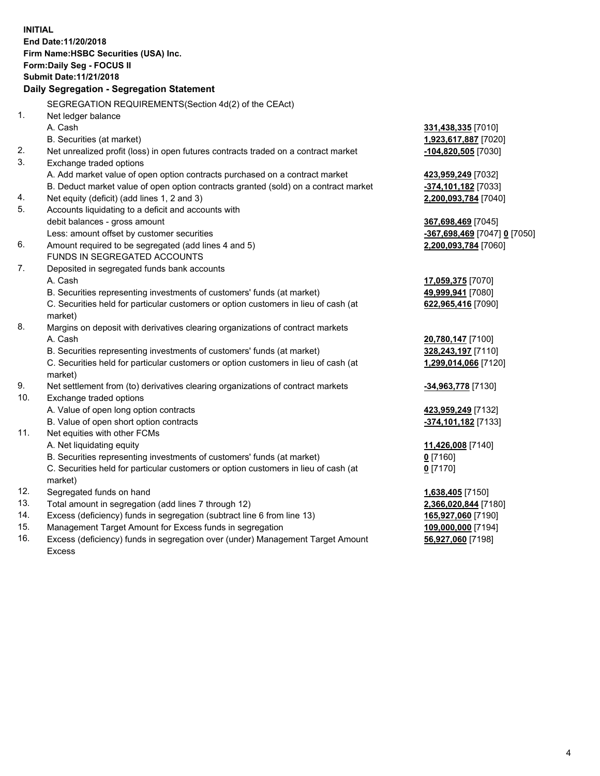|     | <b>INITIAL</b>                                                                                 |                                           |
|-----|------------------------------------------------------------------------------------------------|-------------------------------------------|
|     | End Date:11/20/2018                                                                            |                                           |
|     | Firm Name: HSBC Securities (USA) Inc.                                                          |                                           |
|     | Form: Daily Seg - FOCUS II                                                                     |                                           |
|     | <b>Submit Date:11/21/2018</b>                                                                  |                                           |
|     | Daily Segregation - Segregation Statement                                                      |                                           |
|     | SEGREGATION REQUIREMENTS (Section 4d(2) of the CEAct)                                          |                                           |
| 1.  | Net ledger balance                                                                             |                                           |
|     | A. Cash                                                                                        | 331,438,335 [7010]                        |
|     | B. Securities (at market)                                                                      | 1,923,617,887 [7020]                      |
| 2.  | Net unrealized profit (loss) in open futures contracts traded on a contract market             | -104,820,505 [7030]                       |
| 3.  | Exchange traded options                                                                        |                                           |
|     | A. Add market value of open option contracts purchased on a contract market                    | <u>423,959,249</u> [7032]                 |
|     | B. Deduct market value of open option contracts granted (sold) on a contract market            | -374,101,182 [7033]                       |
| 4.  | Net equity (deficit) (add lines 1, 2 and 3)                                                    | <u>2,200,093,784</u> [7040]               |
| 5.  | Accounts liquidating to a deficit and accounts with                                            |                                           |
|     | debit balances - gross amount                                                                  | <u>367,698,469</u> [7045]                 |
|     | Less: amount offset by customer securities                                                     | <mark>-367,698,469</mark> [7047] 0 [7050] |
| 6.  | Amount required to be segregated (add lines 4 and 5)                                           | 2,200,093,784 [7060]                      |
|     | FUNDS IN SEGREGATED ACCOUNTS                                                                   |                                           |
| 7.  | Deposited in segregated funds bank accounts                                                    |                                           |
|     | A. Cash                                                                                        | <u>17,059,375</u> [7070]                  |
|     | B. Securities representing investments of customers' funds (at market)                         | 49,999,941 [7080]                         |
|     | C. Securities held for particular customers or option customers in lieu of cash (at<br>market) | 622,965,416 [7090]                        |
| 8.  | Margins on deposit with derivatives clearing organizations of contract markets                 |                                           |
|     | A. Cash                                                                                        | 20,780,147 [7100]                         |
|     | B. Securities representing investments of customers' funds (at market)                         | <u>328,243,197</u> [7110]                 |
|     | C. Securities held for particular customers or option customers in lieu of cash (at            | <u>1,299,014,066</u> [7120]               |
|     | market)                                                                                        |                                           |
| 9.  | Net settlement from (to) derivatives clearing organizations of contract markets                | <u>-<b>34,963,778</b> [</u> 7130]         |
| 10. | Exchange traded options                                                                        |                                           |
|     | A. Value of open long option contracts                                                         | 423,959,249 [7132]                        |
|     | B. Value of open short option contracts                                                        | -374,101,182 [7133]                       |
| 11. | Net equities with other FCMs                                                                   |                                           |
|     | A. Net liquidating equity                                                                      | 11,426,008 [7140]                         |
|     | B. Securities representing investments of customers' funds (at market)                         | $0$ [7160]                                |
|     | C. Securities held for particular customers or option customers in lieu of cash (at            | 0 <sup>[7170]</sup>                       |
|     | market)                                                                                        |                                           |
| 12. | Segregated funds on hand                                                                       | <u>1,638,405</u> [7150]                   |
| 13. | Total amount in segregation (add lines 7 through 12)                                           | 2,366,020,844 [7180]                      |
| 14. | Excess (deficiency) funds in segregation (subtract line 6 from line 13)                        | 165,927,060 [7190]                        |
| 15. | Management Target Amount for Excess funds in segregation                                       | 109,000,000 [7194]                        |

16. Excess (deficiency) funds in segregation over (under) Management Target Amount Excess

**56,927,060** [7198]